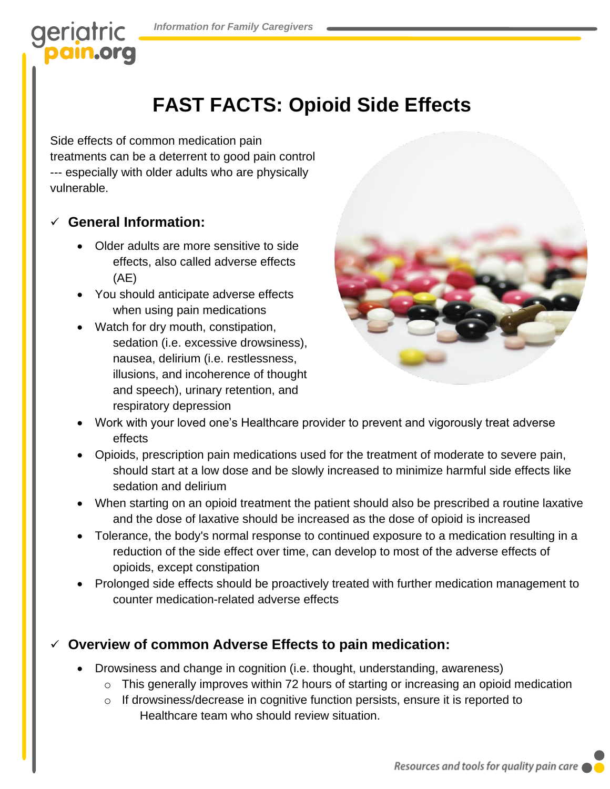# geriatric

### **FAST FACTS: Opioid Side Effects**

Side effects of common medication pain treatments can be a deterrent to good pain control --- especially with older adults who are physically vulnerable.

#### ✓ **General Information:**

- Older adults are more sensitive to side effects, also called adverse effects (AE)
- You should anticipate adverse effects when using pain medications
- Watch for dry mouth, constipation, sedation (i.e. excessive drowsiness), nausea, delirium (i.e. restlessness, illusions, and incoherence of thought and speech), urinary retention, and respiratory depression



- Work with your loved one's Healthcare provider to prevent and vigorously treat adverse effects
- Opioids, prescription pain medications used for the treatment of moderate to severe pain, should start at a low dose and be slowly increased to minimize harmful side effects like sedation and delirium
- When starting on an opioid treatment the patient should also be prescribed a routine laxative and the dose of laxative should be increased as the dose of opioid is increased
- Tolerance, the body's normal response to continued exposure to a medication resulting in a reduction of the side effect over time, can develop to most of the adverse effects of opioids, except constipation
- Prolonged side effects should be proactively treated with further medication management to counter medication-related adverse effects

### **Overview of common Adverse Effects to pain medication:**

- Drowsiness and change in cognition (i.e. thought, understanding, awareness)
	- o This generally improves within 72 hours of starting or increasing an opioid medication
	- o If drowsiness/decrease in cognitive function persists, ensure it is reported to Healthcare team who should review situation.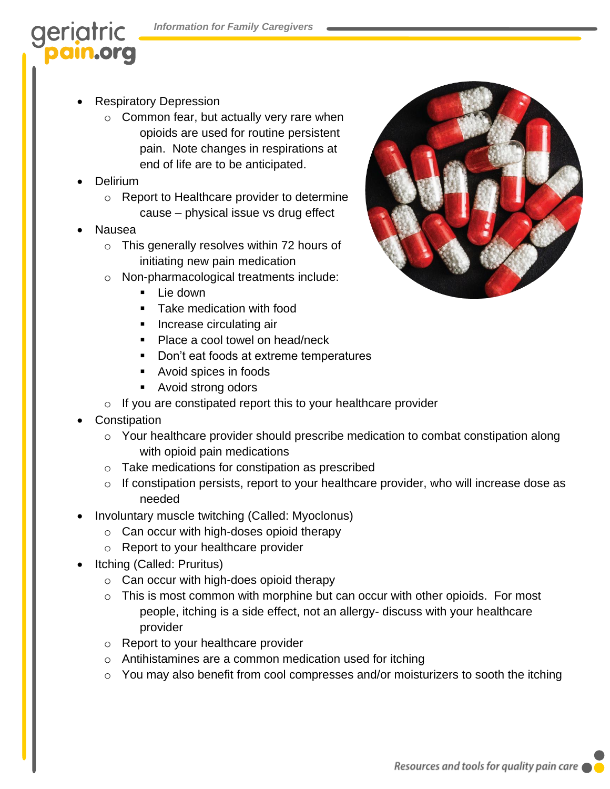# geriatric

- Respiratory Depression
	- o Common fear, but actually very rare when opioids are used for routine persistent pain. Note changes in respirations at end of life are to be anticipated.
- Delirium
	- o Report to Healthcare provider to determine cause – physical issue vs drug effect
- Nausea
	- o This generally resolves within 72 hours of initiating new pain medication
	- o Non-pharmacological treatments include:
		- Lie down
		- **Take medication with food**
		- Increase circulating air
		- Place a cool towel on head/neck
		- Don't eat foods at extreme temperatures
		- Avoid spices in foods
		- Avoid strong odors
	- $\circ$  If you are constipated report this to your healthcare provider
- **Constipation** 
	- o Your healthcare provider should prescribe medication to combat constipation along with opioid pain medications
	- Take medications for constipation as prescribed
	- o If constipation persists, report to your healthcare provider, who will increase dose as needed
- Involuntary muscle twitching (Called: Myoclonus)
	- o Can occur with high-doses opioid therapy
	- o Report to your healthcare provider
- Itching (Called: Pruritus)
	- o Can occur with high-does opioid therapy
	- $\circ$  This is most common with morphine but can occur with other opioids. For most people, itching is a side effect, not an allergy- discuss with your healthcare provider
	- o Report to your healthcare provider
	- o Antihistamines are a common medication used for itching
	- o You may also benefit from cool compresses and/or moisturizers to sooth the itching